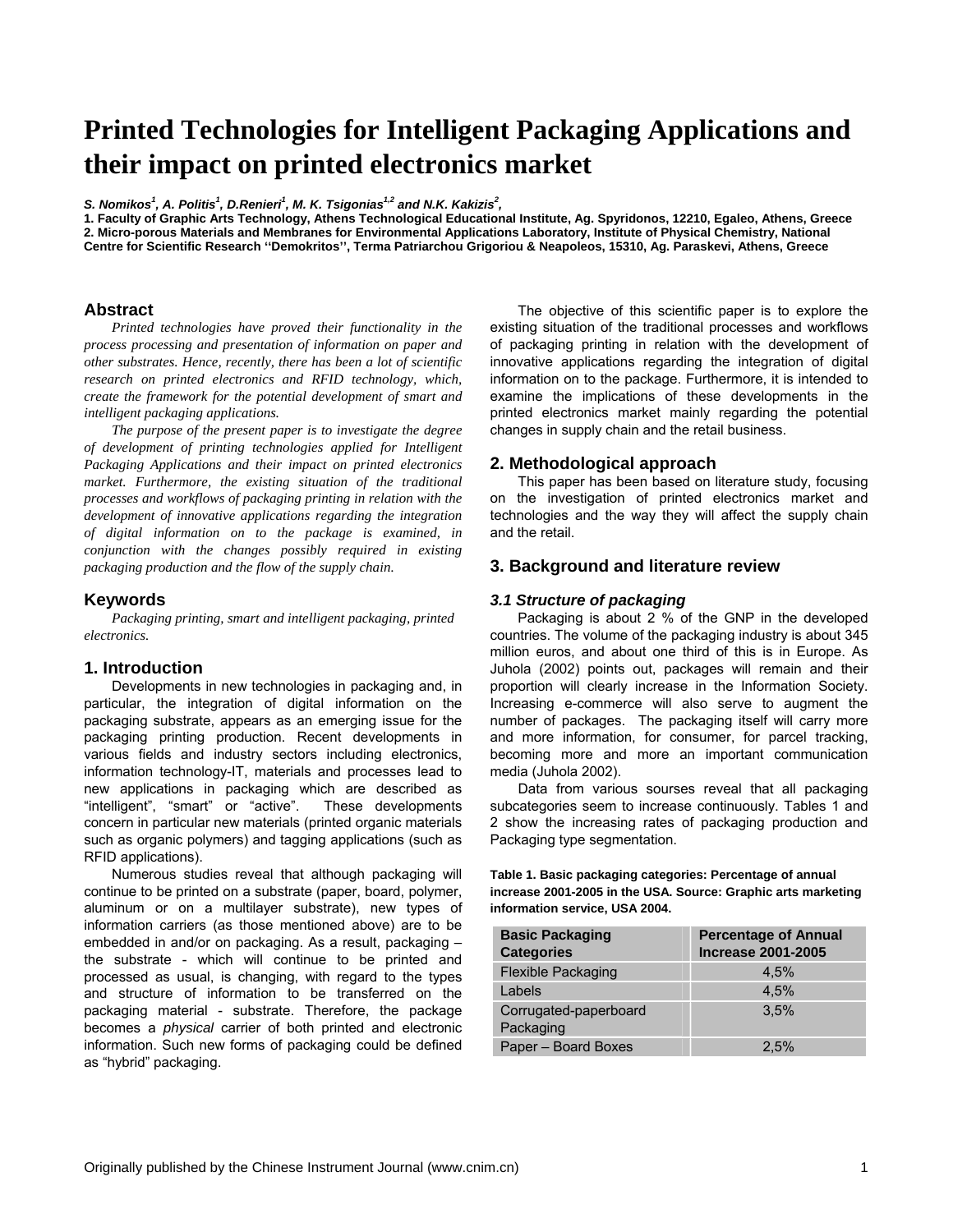# **Printed Technologies for Intelligent Packaging Applications and their impact on printed electronics market**

S. Nomikos<sup>1</sup>, A. Politis<sup>1</sup>, D.Renieri<sup>1</sup>, M. K. Tsigonias<sup>1,2</sup> and N.K. Kakizis<sup>2</sup>,

**1. Faculty of Graphic Arts Technology, Athens Technological Educational Institute, Ag. Spyridonos, 12210, Egaleo, Athens, Greece 2. Micro-porous Materials and Membranes for Environmental Applications Laboratory, Institute of Physical Chemistry, National Centre for Scientific Research ''Demokritos'', Terma Patriarchou Grigoriou & Neapoleos, 15310, Ag. Paraskevi, Athens, Greece** 

# **Abstract**

*Printed technologies have proved their functionality in the process processing and presentation of information on paper and other substrates. Hence, recently, there has been a lot of scientific research on printed electronics and RFID technology, which, create the framework for the potential development of smart and intelligent packaging applications.* 

*The purpose of the present paper is to investigate the degree of development of printing technologies applied for Intelligent Packaging Applications and their impact on printed electronics market. Furthermore, the existing situation of the traditional processes and workflows of packaging printing in relation with the development of innovative applications regarding the integration of digital information on to the package is examined, in conjunction with the changes possibly required in existing packaging production and the flow of the supply chain*.

#### **Keywords**

*Packaging printing, smart and intelligent packaging, printed electronics.* 

#### **1. Introduction**

Developments in new technologies in packaging and, in particular, the integration of digital information on the packaging substrate, appears as an emerging issue for the packaging printing production. Recent developments in various fields and industry sectors including electronics, information technology-IT, materials and processes lead to new applications in packaging which are described as "intelligent", "smart" or "active". These developments concern in particular new materials (printed organic materials such as organic polymers) and tagging applications (such as RFID applications).

Numerous studies reveal that although packaging will continue to be printed on a substrate (paper, board, polymer, aluminum or on a multilayer substrate), new types of information carriers (as those mentioned above) are to be embedded in and/or on packaging. As a result, packaging – the substrate - which will continue to be printed and processed as usual, is changing, with regard to the types and structure of information to be transferred on the packaging material - substrate. Therefore, the package becomes a *physical* carrier of both printed and electronic information. Such new forms of packaging could be defined as "hybrid" packaging.

The objective of this scientific paper is to explore the existing situation of the traditional processes and workflows of packaging printing in relation with the development of innovative applications regarding the integration of digital information on to the package. Furthermore, it is intended to examine the implications of these developments in the printed electronics market mainly regarding the potential changes in supply chain and the retail business.

#### **2. Methodological approach**

This paper has been based on literature study, focusing on the investigation of printed electronics market and technologies and the way they will affect the supply chain and the retail.

### **3. Background and literature review**

### *3.1 Structure of packaging*

Packaging is about 2 % of the GNP in the developed countries. The volume of the packaging industry is about 345 million euros, and about one third of this is in Europe. As Juhola (2002) points out, packages will remain and their proportion will clearly increase in the Information Society. Increasing e-commerce will also serve to augment the number of packages. The packaging itself will carry more and more information, for consumer, for parcel tracking, becoming more and more an important communication media (Juhola 2002).

Data from various sourses reveal that all packaging subcategories seem to increase continuously. Tables 1 and 2 show the increasing rates of packaging production and Packaging type segmentation.

**Table 1. Basic packaging categories: Percentage of annual increase 2001-2005 in the USA. Source: Graphic arts marketing information service, USA 2004.** 

| <b>Basic Packaging</b><br><b>Categories</b> | <b>Percentage of Annual</b><br><b>Increase 2001-2005</b> |
|---------------------------------------------|----------------------------------------------------------|
| <b>Flexible Packaging</b>                   | 4.5%                                                     |
| Labels                                      | 4.5%                                                     |
| Corrugated-paperboard<br>Packaging          | 3.5%                                                     |
| Paper - Board Boxes                         | 2.5%                                                     |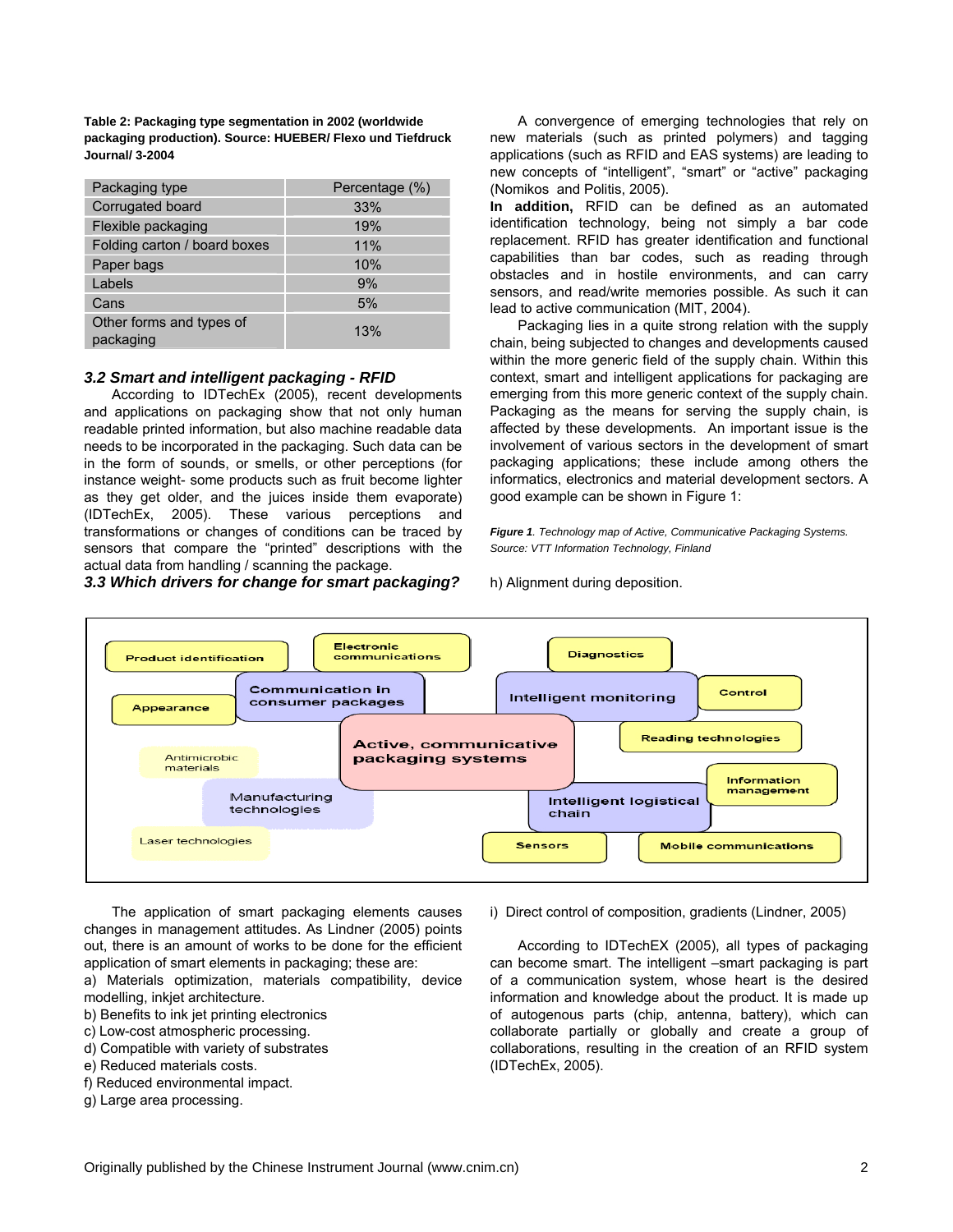**Table 2: Packaging type segmentation in 2002 (worldwide packaging production). Source: HUEBER/ Flexo und Tiefdruck Journal/ 3-2004** 

| Packaging type                        | Percentage (%) |  |  |  |
|---------------------------------------|----------------|--|--|--|
| Corrugated board                      | 33%            |  |  |  |
| Flexible packaging                    | 19%            |  |  |  |
| Folding carton / board boxes          | 11%            |  |  |  |
| Paper bags                            | 10%            |  |  |  |
| Labels                                | 9%             |  |  |  |
| Cans                                  | 5%             |  |  |  |
| Other forms and types of<br>packaging | 13%            |  |  |  |

#### *3.2 Smart and intelligent packaging - RFID*

According to IDTechEx (2005), recent developments and applications on packaging show that not only human readable printed information, but also machine readable data needs to be incorporated in the packaging. Such data can be in the form of sounds, or smells, or other perceptions (for instance weight- some products such as fruit become lighter as they get older, and the juices inside them evaporate) (IDTechEx, 2005). These various perceptions and transformations or changes of conditions can be traced by sensors that compare the "printed" descriptions with the actual data from handling / scanning the package.

#### *3.3 Which drivers for change for smart packaging?*

A convergence of emerging technologies that rely on new materials (such as printed polymers) and tagging applications (such as RFID and EAS systems) are leading to new concepts of "intelligent", "smart" or "active" packaging (Nomikos and Politis, 2005).

**In addition,** RFID can be defined as an automated identification technology, being not simply a bar code replacement. RFID has greater identification and functional capabilities than bar codes, such as reading through obstacles and in hostile environments, and can carry sensors, and read/write memories possible. As such it can lead to active communication (MIT, 2004).

Packaging lies in a quite strong relation with the supply chain, being subjected to changes and developments caused within the more generic field of the supply chain. Within this context, smart and intelligent applications for packaging are emerging from this more generic context of the supply chain. Packaging as the means for serving the supply chain, is affected by these developments. An important issue is the involvement of various sectors in the development of smart packaging applications; these include among others the informatics, electronics and material development sectors. A good example can be shown in Figure 1:

*Figure 1. Technology map of Active, Communicative Packaging Systems. Source: VTT Information Technology, Finland*

h) Alignment during deposition.



The application of smart packaging elements causes changes in management attitudes. As Lindner (2005) points out, there is an amount of works to be done for the efficient application of smart elements in packaging; these are:

a) Materials optimization, materials compatibility, device modelling, inkjet architecture.

- b) Benefits to ink jet printing electronics
- c) Low-cost atmospheric processing.
- d) Compatible with variety of substrates
- e) Reduced materials costs.
- f) Reduced environmental impact.
- g) Large area processing.

i) Direct control of composition, gradients (Lindner, 2005)

According to IDTechEX (2005), all types of packaging can become smart. The intelligent –smart packaging is part of a communication system, whose heart is the desired information and knowledge about the product. It is made up of autogenous parts (chip, antenna, battery), which can collaborate partially or globally and create a group of collaborations, resulting in the creation of an RFID system (IDTechEx, 2005).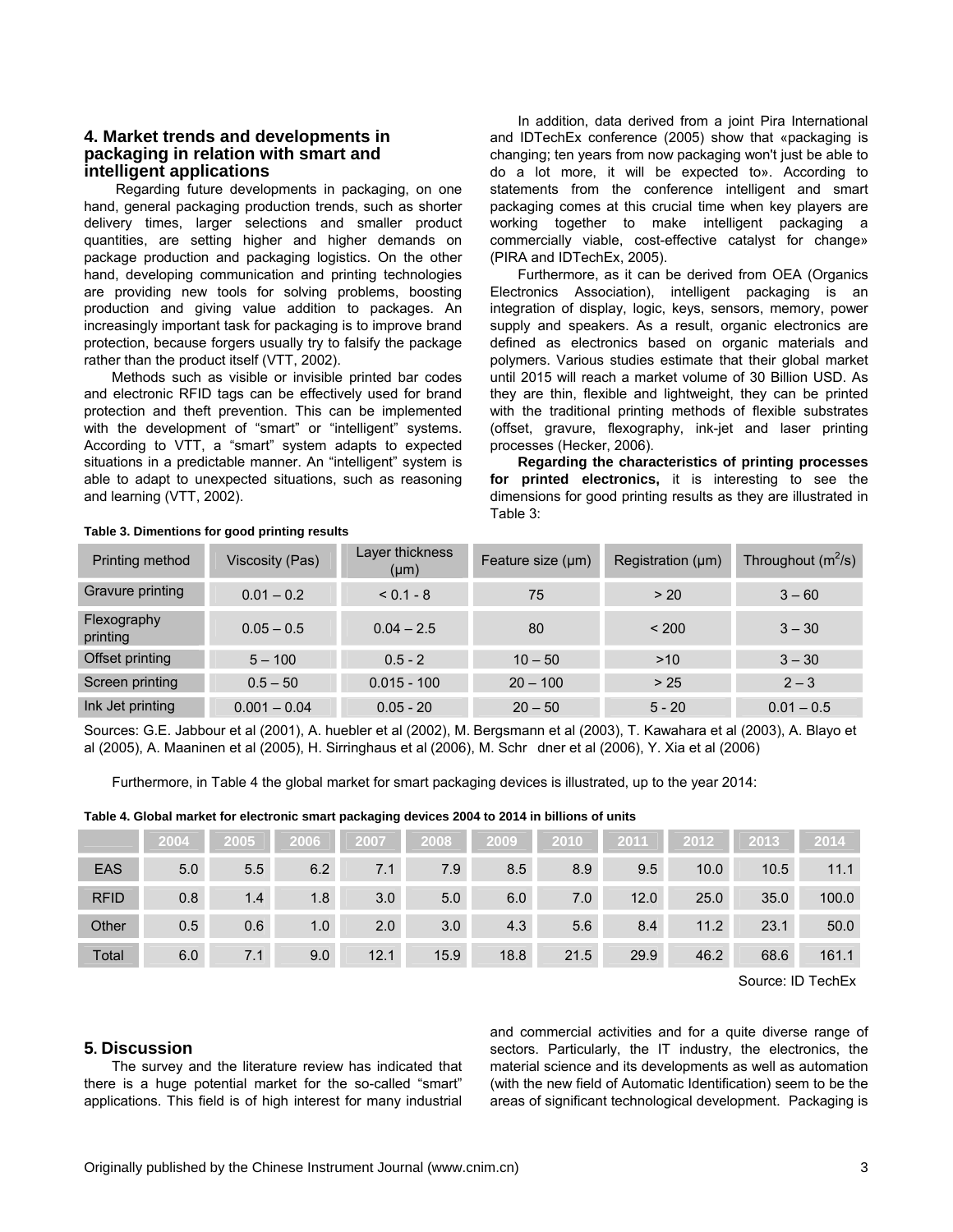# **4. Market trends and developments in packaging in relation with smart and intelligent applications**

 Regarding future developments in packaging, on one hand, general packaging production trends, such as shorter delivery times, larger selections and smaller product quantities, are setting higher and higher demands on package production and packaging logistics. On the other hand, developing communication and printing technologies are providing new tools for solving problems, boosting production and giving value addition to packages. An increasingly important task for packaging is to improve brand protection, because forgers usually try to falsify the package rather than the product itself (VTT, 2002).

Methods such as visible or invisible printed bar codes and electronic RFID tags can be effectively used for brand protection and theft prevention. This can be implemented with the development of "smart" or "intelligent" systems. According to VTT, a "smart" system adapts to expected situations in a predictable manner. An "intelligent" system is able to adapt to unexpected situations, such as reasoning and learning (VTT, 2002).

In addition, data derived from a joint Pira International and IDTechEx conference (2005) show that «packaging is changing; ten years from now packaging won't just be able to do a lot more, it will be expected to». According to statements from the conference intelligent and smart packaging comes at this crucial time when key players are working together to make intelligent packaging a commercially viable, cost-effective catalyst for change» (PIRA and IDTechEx, 2005).

Furthermore, as it can be derived from OEA (Organics Electronics Association), intelligent packaging is an integration of display, logic, keys, sensors, memory, power supply and speakers. As a result, organic electronics are defined as electronics based on organic materials and polymers. Various studies estimate that their global market until 2015 will reach a market volume of 30 Billion USD. As they are thin, flexible and lightweight, they can be printed with the traditional printing methods of flexible substrates (offset, gravure, flexography, ink-jet and laser printing processes (Hecker, 2006).

**Regarding the characteristics of printing processes for printed electronics,** it is interesting to see the dimensions for good printing results as they are illustrated in Table 3:

| Printing method         | Viscosity (Pas) | Layer thickness<br>$(\mu m)$ | Feature size (µm) | Registration $(\mu m)$ | Throughout $(m^2/s)$ |  |
|-------------------------|-----------------|------------------------------|-------------------|------------------------|----------------------|--|
| Gravure printing        | $0.01 - 0.2$    | $< 0.1 - 8$                  | 75                | > 20                   | $3 - 60$             |  |
| Flexography<br>printing | $0.05 - 0.5$    | $0.04 - 2.5$                 | 80                | < 200                  | $3 - 30$             |  |
| Offset printing         | $5 - 100$       | $0.5 - 2$                    | $10 - 50$         | $>10$                  | $3 - 30$             |  |
| Screen printing         | $0.5 - 50$      | $0.015 - 100$                | $20 - 100$        | > 25                   | $2 - 3$              |  |
| Ink Jet printing        | $0.001 - 0.04$  | $0.05 - 20$                  | $20 - 50$         | $5 - 20$               | $0.01 - 0.5$         |  |

**Table 3. Dimentions for good printing results** 

Sources: G.E. Jabbour et al (2001), A. huebler et al (2002), M. Bergsmann et al (2003), T. Kawahara et al (2003), A. Blayo et al (2005), A. Maaninen et al (2005), H. Sirringhaus et al (2006), M. Schrdner et al (2006), Y. Xia et al (2006)

Furthermore, in Table 4 the global market for smart packaging devices is illustrated, up to the year 2014:

|             | 2004 | 2005 | 2006 | 2007 | 2008 | 2009 | 2010 | 2011 | 2012 | 2013 | 2014  |
|-------------|------|------|------|------|------|------|------|------|------|------|-------|
| <b>EAS</b>  | 5.0  | 5.5  | 6.2  | 7.1  | 7.9  | 8.5  | 8.9  | 9.5  | 10.0 | 10.5 | 11.1  |
| <b>RFID</b> | 0.8  | 1.4  | 1.8  | 3.0  | 5.0  | 6.0  | 7.0  | 12.0 | 25.0 | 35.0 | 100.0 |
| Other       | 0.5  | 0.6  | 1.0  | 2.0  | 3.0  | 4.3  | 5.6  | 8.4  | 11.2 | 23.1 | 50.0  |
| Total       | 6.0  | 7.1  | 9.0  | 12.1 | 15.9 | 18.8 | 21.5 | 29.9 | 46.2 | 68.6 | 161.1 |

Source: ID TechEx

### **5. Discussion**

The survey and the literature review has indicated that there is a huge potential market for the so-called "smart" applications. This field is of high interest for many industrial and commercial activities and for a quite diverse range of sectors. Particularly, the IT industry, the electronics, the material science and its developments as well as automation (with the new field of Automatic Identification) seem to be the areas of significant technological development. Packaging is